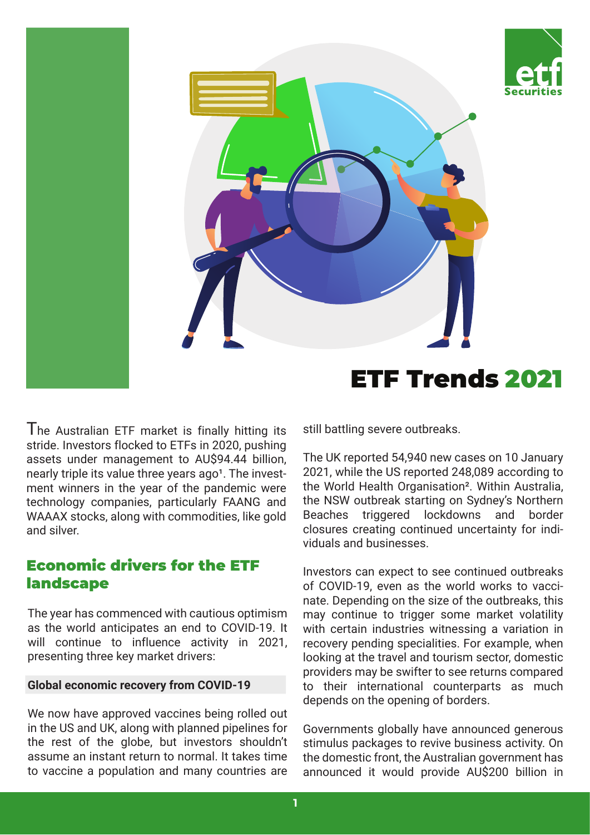



I he Australian ETF market is finally hitting its stride. Investors flocked to ETFs in 2020, pushing assets under management to AU\$94.44 billion, nearly triple its value three years ago<sup>1</sup>. The investment winners in the year of the pandemic were technology companies, particularly FAANG and WAAAX stocks, along with commodities, like gold and silver.

# Economic drivers for the ETF landscape

The year has commenced with cautious optimism as the world anticipates an end to COVID-19. It will continue to influence activity in 2021, presenting three key market drivers:

### **Global economic recovery from COVID-19**

We now have approved vaccines being rolled out in the US and UK, along with planned pipelines for the rest of the globe, but investors shouldn't assume an instant return to normal. It takes time to vaccine a population and many countries are

still battling severe outbreaks.

The UK reported 54,940 new cases on 10 January 2021, while the US reported 248,089 according to the World Health Organisation². Within Australia, the NSW outbreak starting on Sydney's Northern Beaches triggered lockdowns and border closures creating continued uncertainty for individuals and businesses.

Investors can expect to see continued outbreaks of COVID-19, even as the world works to vaccinate. Depending on the size of the outbreaks, this may continue to trigger some market volatility with certain industries witnessing a variation in recovery pending specialities. For example, when looking at the travel and tourism sector, domestic providers may be swifter to see returns compared to their international counterparts as much depends on the opening of borders.

Governments globally have announced generous stimulus packages to revive business activity. On the domestic front, the Australian government has announced it would provide AU\$200 billion in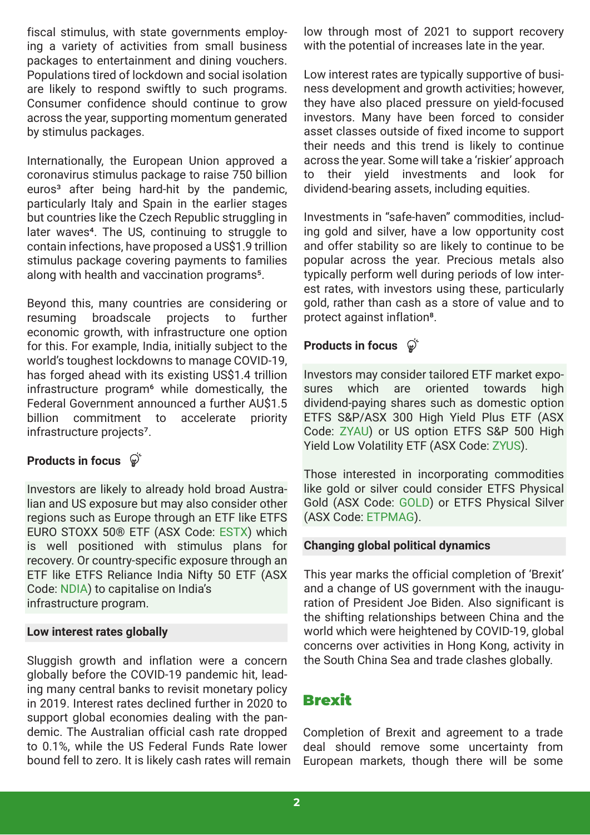fiscal stimulus, with state governments employing a variety of activities from small business packages to entertainment and dining vouchers. Populations tired of lockdown and social isolation are likely to respond swiftly to such programs. Consumer confidence should continue to grow across the year, supporting momentum generated by stimulus packages.

Internationally, the European Union approved a coronavirus stimulus package to raise 750 billion euros<sup>3</sup> after being hard-hit by the pandemic, particularly Italy and Spain in the earlier stages but countries like the Czech Republic struggling in later waves<sup>4</sup>. The US, continuing to struggle to contain infections, have proposed a US\$1.9 trillion stimulus package covering payments to families along with health and vaccination programs<sup>5</sup>.

Beyond this, many countries are considering or resuming broadscale projects to further economic growth, with infrastructure one option for this. For example, India, initially subject to the world's toughest lockdowns to manage COVID-19, has forged ahead with its existing US\$1.4 trillion infrastructure program<sup>6</sup> while domestically, the Federal Government announced a further AU\$1.5 billion commitment to accelerate priority infrastructure projects7.

## **Products in focus**

Investors are likely to already hold broad Australian and US exposure but may also consider other regions such as Europe through an ETF like ETFS EURO STOXX 50® ETF (ASX Code: [ESTX](https://www.etfsecurities.com.au/product/estx)) which is well positioned with stimulus plans for recovery. Or country-specific exposure through an ETF like ETFS Reliance India Nifty 50 ETF (ASX Code: [NDIA\)](https://www.etfsecurities.com.au/product/ndia) to capitalise on India's infrastructure program.

### **Low interest rates globally**

Sluggish growth and inflation were a concern globally before the COVID-19 pandemic hit, leading many central banks to revisit monetary policy in 2019. Interest rates declined further in 2020 to support global economies dealing with the pandemic. The Australian official cash rate dropped to 0.1%, while the US Federal Funds Rate lower bound fell to zero. It is likely cash rates will remain low through most of 2021 to support recovery with the potential of increases late in the year.

Low interest rates are typically supportive of business development and growth activities; however, they have also placed pressure on yield-focused investors. Many have been forced to consider asset classes outside of fixed income to support their needs and this trend is likely to continue across the year. Some will take a 'riskier' approach to their yield investments and look for dividend-bearing assets, including equities.

Investments in "safe-haven" commodities, including gold and silver, have a low opportunity cost and offer stability so are likely to continue to be popular across the year. Precious metals also typically perform well during periods of low interest rates, with investors using these, particularly gold, rather than cash as a store of value and to protect against inflation<sup>8</sup>.

## **Products in focus**  $\mathbb{Q}^6$

Investors may consider tailored ETF market exposures which are oriented towards high dividend-paying shares such as domestic option ETFS S&P/ASX 300 High Yield Plus ETF (ASX Code: [ZYAU\)](https://www.etfsecurities.com.au/product/zyau) or US option ETFS S&P 500 High Yield Low Volatility ETF (ASX Code: [ZYUS\)](https://www.etfsecurities.com.au/product/zyus).

Those interested in incorporating commodities like gold or silver could consider ETFS Physical Gold (ASX Code: [GOLD](https://www.etfsecurities.com.au/product/gold)) or ETFS Physical Silver (ASX Code: [ETPMAG\)](https://www.etfsecurities.com.au/product/etpmag).

### **Changing global political dynamics**

This year marks the official completion of 'Brexit' and a change of US government with the inauguration of President Joe Biden. Also significant is the shifting relationships between China and the world which were heightened by COVID-19, global concerns over activities in Hong Kong, activity in the South China Sea and trade clashes globally.

# Brexit

Completion of Brexit and agreement to a trade deal should remove some uncertainty from European markets, though there will be some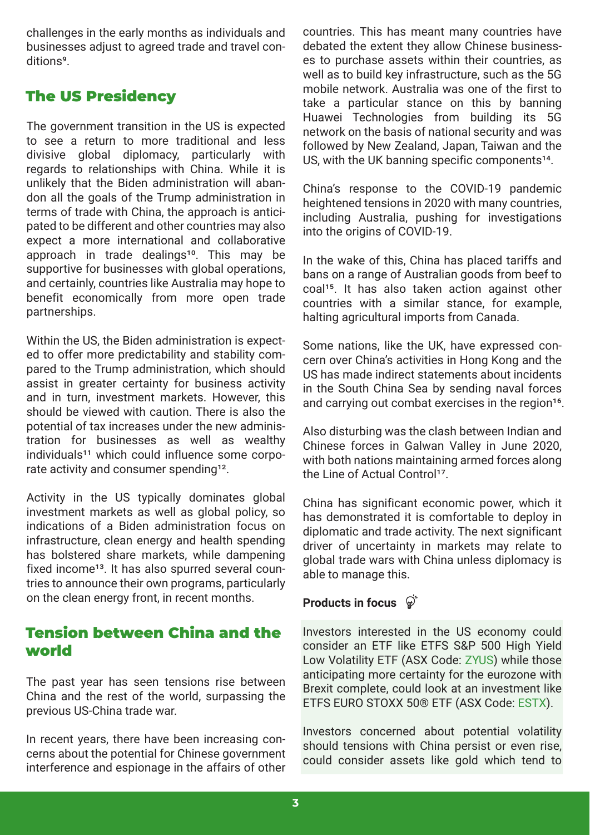challenges in the early months as individuals and businesses adjust to agreed trade and travel conditions<sup>9</sup>.

# The US Presidency

The government transition in the US is expected to see a return to more traditional and less divisive global diplomacy, particularly with regards to relationships with China. While it is unlikely that the Biden administration will abandon all the goals of the Trump administration in terms of trade with China, the approach is anticipated to be different and other countries may also expect a more international and collaborative approach in trade dealings<sup>10</sup>. This may be supportive for businesses with global operations, and certainly, countries like Australia may hope to benefit economically from more open trade partnerships.

Within the US, the Biden administration is expected to offer more predictability and stability compared to the Trump administration, which should assist in greater certainty for business activity and in turn, investment markets. However, this should be viewed with caution. There is also the potential of tax increases under the new administration for businesses as well as wealthy individuals<sup>11</sup> which could influence some corporate activity and consumer spending<sup>12</sup>.

Activity in the US typically dominates global investment markets as well as global policy, so indications of a Biden administration focus on infrastructure, clean energy and health spending has bolstered share markets, while dampening fixed income<sup>13</sup>. It has also spurred several countries to announce their own programs, particularly on the clean energy front, in recent months.

# Tension between China and the world

The past year has seen tensions rise between China and the rest of the world, surpassing the previous US-China trade war.

In recent years, there have been increasing concerns about the potential for Chinese government interference and espionage in the affairs of other countries. This has meant many countries have debated the extent they allow Chinese businesses to purchase assets within their countries, as well as to build key infrastructure, such as the 5G mobile network. Australia was one of the first to take a particular stance on this by banning Huawei Technologies from building its 5G network on the basis of national security and was followed by New Zealand, Japan, Taiwan and the US, with the UK banning specific components $14$ .

China's response to the COVID-19 pandemic heightened tensions in 2020 with many countries, including Australia, pushing for investigations into the origins of COVID-19.

In the wake of this, China has placed tariffs and bans on a range of Australian goods from beef to coal<sup>15</sup>. It has also taken action against other countries with a similar stance, for example, halting agricultural imports from Canada.

Some nations, like the UK, have expressed concern over China's activities in Hong Kong and the US has made indirect statements about incidents in the South China Sea by sending naval forces and carrying out combat exercises in the region<sup>16</sup>.

Also disturbing was the clash between Indian and Chinese forces in Galwan Valley in June 2020, with both nations maintaining armed forces along the Line of Actual Control<sup>17</sup>.

China has significant economic power, which it has demonstrated it is comfortable to deploy in diplomatic and trade activity. The next significant driver of uncertainty in markets may relate to global trade wars with China unless diplomacy is able to manage this.

# **Products in focus**

Investors interested in the US economy could consider an ETF like ETFS S&P 500 High Yield Low Volatility ETF (ASX Code: [ZYUS\)](https://www.etfsecurities.com.au/product/zyus) while those anticipating more certainty for the eurozone with Brexit complete, could look at an investment like ETFS EURO STOXX 50® ETF (ASX Code: [ESTX\)](https://www.etfsecurities.com.au/product/estx).

Investors concerned about potential volatility should tensions with China persist or even rise, could consider assets like gold which tend to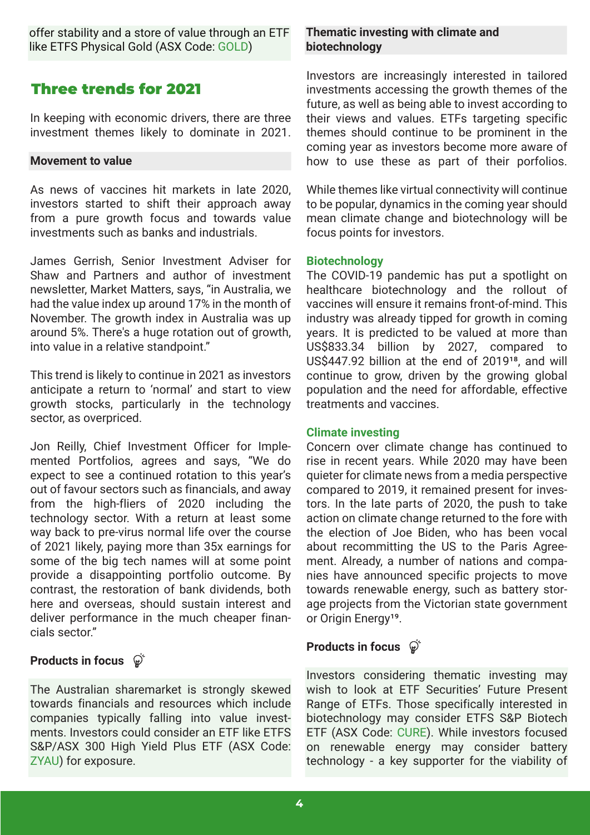offer stability and a store of value through an ETF like ETFS Physical Gold (ASX Code: [GOLD](https://www.etfsecurities.com.au/product/gold))

# Three trends for 2021

In keeping with economic drivers, there are three investment themes likely to dominate in 2021.

### **Movement to value**

As news of vaccines hit markets in late 2020, investors started to shift their approach away from a pure growth focus and towards value investments such as banks and industrials.

James Gerrish, Senior Investment Adviser for Shaw and Partners and author of investment newsletter, Market Matters, says, "in Australia, we had the value index up around 17% in the month of November. The growth index in Australia was up around 5%. There's a huge rotation out of growth, into value in a relative standpoint."

This trend is likely to continue in 2021 as investors anticipate a return to 'normal' and start to view growth stocks, particularly in the technology sector, as overpriced.

Jon Reilly, Chief Investment Officer for Implemented Portfolios, agrees and says, "We do expect to see a continued rotation to this year's out of favour sectors such as financials, and away from the high-fliers of 2020 including the technology sector. With a return at least some way back to pre-virus normal life over the course of 2021 likely, paying more than 35x earnings for some of the big tech names will at some point provide a disappointing portfolio outcome. By contrast, the restoration of bank dividends, both here and overseas, should sustain interest and deliver performance in the much cheaper financials sector."

## **Products in focus**  $\hat{\varphi}$

The Australian sharemarket is strongly skewed towards financials and resources which include companies typically falling into value investments. Investors could consider an ETF like ETFS S&P/ASX 300 High Yield Plus ETF (ASX Code: [ZYAU\)](https://www.etfsecurities.com.au/product/zyau) for exposure.

### **Thematic investing with climate and biotechnology**

Investors are increasingly interested in tailored investments accessing the growth themes of the future, as well as being able to invest according to their views and values. ETFs targeting specific themes should continue to be prominent in the coming year as investors become more aware of how to use these as part of their porfolios.

While themes like virtual connectivity will continue to be popular, dynamics in the coming year should mean climate change and biotechnology will be focus points for investors.

### **Biotechnology**

The COVID-19 pandemic has put a spotlight on healthcare biotechnology and the rollout of vaccines will ensure it remains front-of-mind. This industry was already tipped for growth in coming years. It is predicted to be valued at more than US\$833.34 billion by 2027, compared to US\$447.92 billion at the end of 2019<sup>18</sup>, and will continue to grow, driven by the growing global population and the need for affordable, effective treatments and vaccines.

### **Climate investing**

Concern over climate change has continued to rise in recent years. While 2020 may have been quieter for climate news from a media perspective compared to 2019, it remained present for investors. In the late parts of 2020, the push to take action on climate change returned to the fore with the election of Joe Biden, who has been vocal about recommitting the US to the Paris Agreement. Already, a number of nations and companies have announced specific projects to move towards renewable energy, such as battery storage projects from the Victorian state government or Origin Energy<sup>19</sup>.

## **Products in focus**

Investors considering thematic investing may wish to look at ETF Securities' Future Present Range of ETFs. Those specifically interested in biotechnology may consider ETFS S&P Biotech ETF (ASX Code: [CURE](https://www.etfsecurities.com.au/product/cure)). While investors focused on renewable energy may consider battery technology - a key supporter for the viability of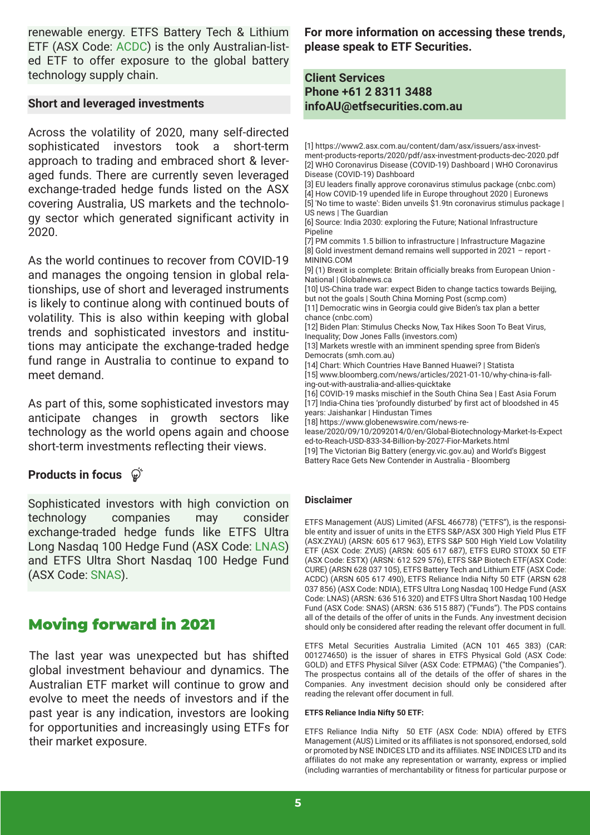renewable energy. ETFS Battery Tech & Lithium ETF (ASX Code: [ACDC\)](https://www.etfsecurities.com.au/product/acdc) is the only Australian-listed ETF to offer exposure to the global battery technology supply chain.

#### **Short and leveraged investments**

Across the volatility of 2020, many self-directed sophisticated investors took a short-term approach to trading and embraced short & leveraged funds. There are currently seven leveraged exchange-traded hedge funds listed on the ASX covering Australia, US markets and the technology sector which generated significant activity in 2020.

As the world continues to recover from COVID-19 and manages the ongoing tension in global relationships, use of short and leveraged instruments is likely to continue along with continued bouts of volatility. This is also within keeping with global trends and sophisticated investors and institutions may anticipate the exchange-traded hedge fund range in Australia to continue to expand to meet demand.

As part of this, some sophisticated investors may anticipate changes in growth sectors like technology as the world opens again and choose short-term investments reflecting their views.

### **Products in focus**

Sophisticated investors with high conviction on technology companies may consider exchange-traded hedge funds like ETFS Ultra Long Nasdaq 100 Hedge Fund (ASX Code: [LNAS\)](https://www.etfsecurities.com.au/product/lnas) and ETFS Ultra Short Nasdaq 100 Hedge Fund (ASX Code: [SNAS\)](https://www.etfsecurities.com.au/product/snas).

## Moving forward in 2021

The last year was unexpected but has shifted global investment behaviour and dynamics. The Australian ETF market will continue to grow and evolve to meet the needs of investors and if the past year is any indication, investors are looking for opportunities and increasingly using ETFs for their market exposure.

**For more information on accessing these trends, please speak to ETF Securities.**

### **Client Services Phone +61 2 8311 3488 infoAU@etfsecurities.com.au**

[1] https://www2.asx.com.au/content/dam/asx/issuers/asx-invest[ment-products-reports/2020/pdf/asx-investment-products-dec-2020.pdf](https://www2.asx.com.au/content/dam/asx/issuers/asx-investment-products-reports/2020/pdf/asx-investment-products-dec-2020.pdf)  [\[2\] WHO Coronavirus Disease \(COVID-19\) Dashboard | WHO Coronavirus](https://covid19.who.int/table)  Disease (COVID-19) Dashboard [\[3\] EU leaders finally approve coronavirus stimulus package \(cnbc.com\)](https://www.cnbc.com/2020/12/10/eu-leaders-finally-approve-coronavirus-stimulus-package.html) [\[4\] How COVID-19 upended life in Europe throughout 2020 | Euronews](https://www.euronews.com/2020/12/31/how-covid-19-upended-life-in-europe-throughout-2020) [\[5\]](https://www.theguardian.com/us-news/2021/jan/14/joe-biden-coronavirus-stimulus-package) '[No time to waste](https://www.theguardian.com/us-news/2021/jan/14/joe-biden-coronavirus-stimulus-package)'[: Biden unveils \\$1.9tn coronavirus stimulus package |](https://www.theguardian.com/us-news/2021/jan/14/joe-biden-coronavirus-stimulus-package)  US news | The Guardian [6] Source: India 2030: exploring the Future; National Infrastructure Pipeline [\[7\] PM commits 1.5 billion to infrastructure | Infrastructure Magazine](https://infrastructuremagazine.com.au/2020/08/26/pm-commits-1-5-billion-to-infrastructure/) [\[8\] Gold investment demand remains well supported in 2021 – report -](https://www.mining.com/gold-investment-demand-remains-well-supported-in-2021-report/)  MINING.COM [\[9\] \(1\) Brexit is complete: Britain officially breaks from European Union -](https://globalnews.ca/news/7548958/brexit-deadline-britain-eu-2020/) National | Globalnews.ca [10] US-China trade war: expect Biden to change tactics towards Beijing, but not the goals | South China Morning Post (scmp.com) [\[11\] Democratic wins in Georgia could give Biden's tax plan a better](https://www.cnbc.com/2021/01/06/democratic-wins-in-georgia-could-give-bidens-tax-plan-a-better-chance.html)  chance (cnbc.com) [\[12\] Biden Plan: Stimulus Checks Now, Tax Hikes Soon To Beat Virus,](https://www.investors.com/news/economy/biden-plan-stimulus-checks-now-tax-hikes-soon-defeat-virus-inequality-dow-jones-falls/)  Inequality; Dow Jones Falls (investors.com) [\[13\] Markets wrestle with an imminent spending spree from Biden's](https://www.smh.com.au/business/markets/markets-wrestle-with-an-imminent-spending-spree-from-biden-s-democrats-20210112-p56tfp.html)  Democrats (smh.com.au) [\[14\] Chart: Which Countries Have Banned Huawei? | Statista](https://www.statista.com/chart/17528/countries-which-have-banned-huawei-products/#:~:text=As%20of%20December%2012%2C%202019,new%20network%20to%2035%20percent.) [\[15\] www.bloomberg.com/news/articles/2021-01-10/why-china-is-fall](https://www.bloomberg.com/news/articles/2021-01-10/why-china-is-falling-out-with-australia-and-allies-quicktake)ing-out-with-australia-and-allies-quicktake [\[16\] COVID-19 masks mischief in the South China Sea | East Asia Forum](https://www.eastasiaforum.org/2021/01/13/covid-19-masks-mischief-in-the-south-china-sea/) [[17\] India-China ties 'profoundly disturbed' by first act of bloodshed in 45](https://www.hindustantimes.com/india-news/indiachina-ties-profoundly-disturbed-by-first-act-of-bloodshed-in-45-years-jaishankar-101610440666374.html)  years: Jaishankar | Hindustan Times [18] https://www.globenewswire.com/news-re[lease/2020/09/10/2092014/0/en/Global-Biotechnology-Market-Is-Expect](https://www.globenewswire.com/news-release/2020/09/10/2092014/0/en/Global-Biotechnology-Market-Is-Expected-to-Reach-USD-833-34-Billion-by-2027-Fior-Markets.html) ed-to-Reach-USD-833-34-Billion-by-2027-Fior-Markets.html

[\[19\] The Victorian Big Battery \(energy.vic.gov.au\) and World's Biggest](https://www.energy.vic.gov.au/renewable-energy/the-victorian-big-battery)  Battery Race Gets New Contender in Australia - Bloomberg

#### **Disclaimer**

ETFS Management (AUS) Limited (AFSL 466778) ("ETFS"), is the responsible entity and issuer of units in the ETFS S&P/ASX 300 High Yield Plus ETF (ASX:ZYAU) (ARSN: 605 617 963), ETFS S&P 500 High Yield Low Volatility ETF (ASX Code: ZYUS) (ARSN: 605 617 687), ETFS EURO STOXX 50 ETF (ASX Code: ESTX) (ARSN: 612 529 576), ETFS S&P Biotech ETF(ASX Code: CURE) (ARSN 628 037 105), ETFS Battery Tech and Lithium ETF (ASX Code: ACDC) (ARSN 605 617 490), ETFS Reliance India Nifty 50 ETF (ARSN 628 037 856) (ASX Code: NDIA), ETFS Ultra Long Nasdaq 100 Hedge Fund (ASX Code: LNAS) (ARSN: 636 516 320) and ETFS Ultra Short Nasdaq 100 Hedge Fund (ASX Code: SNAS) (ARSN: 636 515 887) ("Funds"). The PDS contains all of the details of the offer of units in the Funds. Any investment decision should only be considered after reading the relevant offer document in full.

ETFS Metal Securities Australia Limited (ACN 101 465 383) (CAR: 001274650) is the issuer of shares in ETFS Physical Gold (ASX Code: GOLD) and ETFS Physical Silver (ASX Code: ETPMAG) ("the Companies"). The prospectus contains all of the details of the offer of shares in the Companies. Any investment decision should only be considered after reading the relevant offer document in full.

#### **ETFS Reliance India Nifty 50 ETF:**

ETFS Reliance India Nifty 50 ETF (ASX Code: NDIA) offered by ETFS Management (AUS) Limited or its affiliates is not sponsored, endorsed, sold or promoted by NSE INDICES LTD and its affiliates. NSE INDICES LTD and its affiliates do not make any representation or warranty, express or implied (including warranties of merchantability or fitness for particular purpose or